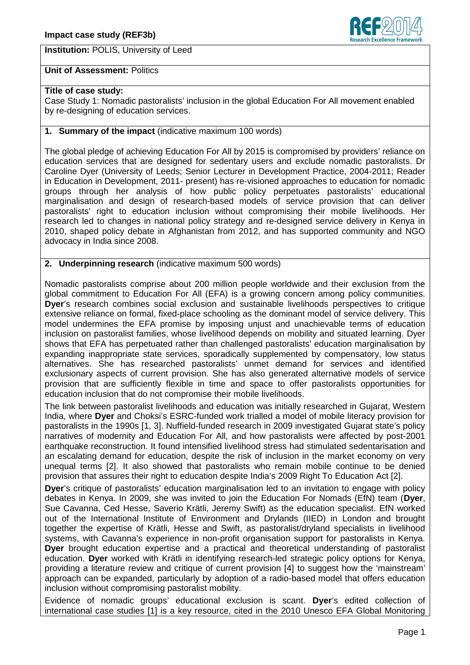**Institution:** POLIS, University of Leed



## **Unit of Assessment:** Politics

## **Title of case study:**

Case Study 1: Nomadic pastoralists' inclusion in the global Education For All movement enabled by re-designing of education services.

## **1. Summary of the impact** (indicative maximum 100 words)

The global pledge of achieving Education For All by 2015 is compromised by providers' reliance on education services that are designed for sedentary users and exclude nomadic pastoralists. Dr Caroline Dyer (University of Leeds; Senior Lecturer in Development Practice, 2004-2011; Reader in Education in Development, 2011- present) has re-visioned approaches to education for nomadic groups through her analysis of how public policy perpetuates pastoralists' educational marginalisation and design of research-based models of service provision that can deliver pastoralists' right to education inclusion without compromising their mobile livelihoods. Her research led to changes in national policy strategy and re-designed service delivery in Kenya in 2010, shaped policy debate in Afghanistan from 2012, and has supported community and NGO advocacy in India since 2008.

## **2. Underpinning research** (indicative maximum 500 words)

Nomadic pastoralists comprise about 200 million people worldwide and their exclusion from the global commitment to Education For All (EFA) is a growing concern among policy communities. **Dyer**'s research combines social exclusion and sustainable livelihoods perspectives to critique extensive reliance on formal, fixed-place schooling as the dominant model of service delivery. This model undermines the EFA promise by imposing unjust and unachievable terms of education inclusion on pastoralist families, whose livelihood depends on mobility and situated learning. Dyer shows that EFA has perpetuated rather than challenged pastoralists' education marginalisation by expanding inappropriate state services, sporadically supplemented by compensatory, low status alternatives. She has researched pastoralists' unmet demand for services and identified exclusionary aspects of current provision. She has also generated alternative models of service provision that are sufficiently flexible in time and space to offer pastoralists opportunities for education inclusion that do not compromise their mobile livelihoods.

The link between pastoralist livelihoods and education was initially researched in Gujarat, Western India, where **Dyer** and Choksi's ESRC-funded work trialled a model of mobile literacy provision for pastoralists in the 1990s [1, 3]. Nuffield-funded research in 2009 investigated Gujarat state's policy narratives of modernity and Education For All, and how pastoralists were affected by post-2001 earthquake reconstruction. It found intensified livelihood stress had stimulated sedentarisation and an escalating demand for education, despite the risk of inclusion in the market economy on very unequal terms [2]. It also showed that pastoralists who remain mobile continue to be denied provision that assures their right to education despite India's 2009 Right To Education Act [2].

**Dyer**'s critique of pastoralists' education marginalisation led to an invitation to engage with policy debates in Kenya. In 2009, she was invited to join the Education For Nomads (EfN) team (**Dyer**, Sue Cavanna, Ced Hesse, Saverio Krätli, Jeremy Swift) as the education specialist. EfN worked out of the International Institute of Environment and Drylands (IIED) in London and brought together the expertise of Krätli, Hesse and Swift, as pastoralist/dryland specialists in livelihood systems, with Cavanna's experience in non-profit organisation support for pastoralists in Kenya. **Dyer** brought education expertise and a practical and theoretical understanding of pastoralist education. **Dyer** worked with Krätli in identifying research-led strategic policy options for Kenya, providing a literature review and critique of current provision [4] to suggest how the 'mainstream' approach can be expanded, particularly by adoption of a radio-based model that offers education inclusion without compromising pastoralist mobility.

Evidence of nomadic groups' educational exclusion is scant. **Dyer**'s edited collection of international case studies [1] is a key resource, cited in the 2010 Unesco EFA Global Monitoring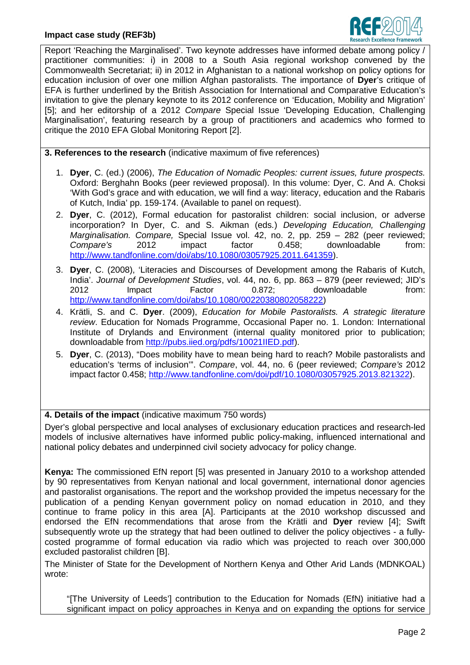

Report 'Reaching the Marginalised'. Two keynote addresses have informed debate among policy / practitioner communities: i) in 2008 to a South Asia regional workshop convened by the Commonwealth Secretariat; ii) in 2012 in Afghanistan to a national workshop on policy options for education inclusion of over one million Afghan pastoralists. The importance of **Dyer**'s critique of EFA is further underlined by the British Association for International and Comparative Education's invitation to give the plenary keynote to its 2012 conference on 'Education, Mobility and Migration' [5]; and her editorship of a 2012 *Compare* Special Issue 'Developing Education, Challenging Marginalisation', featuring research by a group of practitioners and academics who formed to critique the 2010 EFA Global Monitoring Report [2].

**3. References to the research** (indicative maximum of five references)

- 1. **Dyer**, C. (ed.) (2006), *The Education of Nomadic Peoples: current issues, future prospects.* Oxford: Berghahn Books (peer reviewed proposal). In this volume: Dyer, C. And A. Choksi 'With God's grace and with education, we will find a way: literacy, education and the Rabaris of Kutch, India' pp. 159-174. (Available to panel on request).
- 2. **Dyer**, C. (2012), Formal education for pastoralist children: social inclusion, or adverse incorporation? In Dyer, C. and S. Aikman (eds*.*) *Developing Education, Challenging Marginalisation. Compare,* Special Issue vol. 42, no. 2, pp. 259 – 282 (peer reviewed; *Compare's* 2012 impact factor 0.458; downloadable from: http://www.tandfonline.com/doi/abs/10.1080/03057925.2011.641359).
- 3. **Dyer**, C. (2008), 'Literacies and Discourses of Development among the Rabaris of Kutch, India'. *Journal of Development Studies*, vol. 44, no. 6, pp. 863 – 879 (peer reviewed; JID's 2012 Impact Factor 0.872; downloadable from: http://www.tandfonline.com/doi/abs/10.1080/00220380802058222)
- 4. Krätli, S. and C. **Dyer**. (2009), *Education for Mobile Pastoralists. A strategic literature review*. Education for Nomads Programme, Occasional Paper no. 1. London: International Institute of Drylands and Environment (internal quality monitored prior to publication; downloadable from http://pubs.iied.org/pdfs/10021IIED.pdf).
- 5. **Dyer**, C. (2013), "Does mobility have to mean being hard to reach? Mobile pastoralists and education's 'terms of inclusion'". *Compare*, vol. 44, no. 6 (peer reviewed; *Compare's* 2012 impact factor 0.458; http://www.tandfonline.com/doi/pdf/10.1080/03057925.2013.821322).

# **4. Details of the impact** (indicative maximum 750 words)

Dyer's global perspective and local analyses of exclusionary education practices and research-led models of inclusive alternatives have informed public policy-making, influenced international and national policy debates and underpinned civil society advocacy for policy change.

**Kenya:** The commissioned EfN report [5] was presented in January 2010 to a workshop attended by 90 representatives from Kenyan national and local government, international donor agencies and pastoralist organisations. The report and the workshop provided the impetus necessary for the publication of a pending Kenyan government policy on nomad education in 2010, and they continue to frame policy in this area [A]. Participants at the 2010 workshop discussed and endorsed the EfN recommendations that arose from the Krätli and **Dyer** review [4]; Swift subsequently wrote up the strategy that had been outlined to deliver the policy objectives - a fullycosted programme of formal education via radio which was projected to reach over 300,000 excluded pastoralist children [B].

The Minister of State for the Development of Northern Kenya and Other Arid Lands (MDNKOAL) wrote:

"[The University of Leeds'] contribution to the Education for Nomads (EfN) initiative had a significant impact on policy approaches in Kenya and on expanding the options for service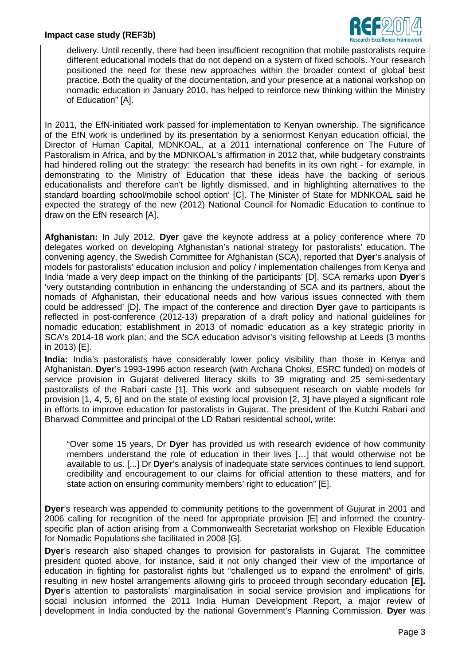

delivery. Until recently, there had been insufficient recognition that mobile pastoralists require different educational models that do not depend on a system of fixed schools. Your research positioned the need for these new approaches within the broader context of global best practice. Both the quality of the documentation, and your presence at a national workshop on nomadic education in January 2010, has helped to reinforce new thinking within the Ministry of Education" [A].

In 2011, the EfN-initiated work passed for implementation to Kenyan ownership. The significance of the EfN work is underlined by its presentation by a seniormost Kenyan education official, the Director of Human Capital, MDNKOAL, at a 2011 international conference on The Future of Pastoralism in Africa, and by the MDNKOAL's affirmation in 2012 that, while budgetary constraints had hindered rolling out the strategy: 'the research had benefits in its own right - for example, in demonstrating to the Ministry of Education that these ideas have the backing of serious educationalists and therefore can't be lightly dismissed, and in highlighting alternatives to the standard boarding school/mobile school option' [C]. The Minister of State for MDNKOAL said he expected the strategy of the new (2012) National Council for Nomadic Education to continue to draw on the EfN research [A].

**Afghanistan:** In July 2012, **Dyer** gave the keynote address at a policy conference where 70 delegates worked on developing Afghanistan's national strategy for pastoralists' education. The convening agency, the Swedish Committee for Afghanistan (SCA), reported that **Dyer**'s analysis of models for pastoralists' education inclusion and policy / implementation challenges from Kenya and India 'made a very deep impact on the thinking of the participants' [D]. SCA remarks upon **Dyer**'s 'very outstanding contribution in enhancing the understanding of SCA and its partners, about the nomads of Afghanistan, their educational needs and how various issues connected with them could be addressed' [D]. The impact of the conference and direction **Dyer** gave to participants is reflected in post-conference (2012-13) preparation of a draft policy and national guidelines for nomadic education; establishment in 2013 of nomadic education as a key strategic priority in SCA's 2014-18 work plan; and the SCA education advisor's visiting fellowship at Leeds (3 months in 2013) [E].

**India:** India's pastoralists have considerably lower policy visibility than those in Kenya and Afghanistan. **Dyer**'s 1993-1996 action research (with Archana Choksi, ESRC funded) on models of service provision in Gujarat delivered literacy skills to 39 migrating and 25 semi-sedentary pastoralists of the Rabari caste [1]. This work and subsequent research on viable models for provision [1, 4, 5, 6] and on the state of existing local provision [2, 3] have played a significant role in efforts to improve education for pastoralists in Gujarat. The president of the Kutchi Rabari and Bharwad Committee and principal of the LD Rabari residential school, write:

"Over some 15 years, Dr **Dyer** has provided us with research evidence of how community members understand the role of education in their lives […] that would otherwise not be available to us. [...] Dr **Dyer**'s analysis of inadequate state services continues to lend support, credibility and encouragement to our claims for official attention to these matters, and for state action on ensuring community members' right to education" [E].

**Dyer**'s research was appended to community petitions to the government of Gujurat in 2001 and 2006 calling for recognition of the need for appropriate provision [E] and informed the countryspecific plan of action arising from a Commonwealth Secretariat workshop on Flexible Education for Nomadic Populations she facilitated in 2008 [G].

**Dyer**'s research also shaped changes to provision for pastoralists in Gujarat. The committee president quoted above, for instance, said it not only changed their view of the importance of education in fighting for pastoralist rights but "challenged us to expand the enrolment" of girls, resulting in new hostel arrangements allowing girls to proceed through secondary education **[E]. Dyer**'s attention to pastoralists' marginalisation in social service provision and implications for social inclusion informed the 2011 India Human Development Report, a major review of development in India conducted by the national Government's Planning Commission. **Dyer** was